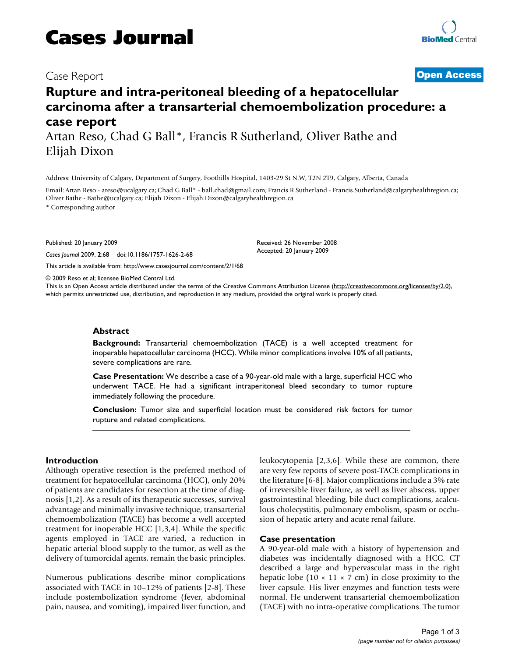# Case Report **[Open Access](http://www.biomedcentral.com/info/about/charter/)**

# **Rupture and intra-peritoneal bleeding of a hepatocellular carcinoma after a transarterial chemoembolization procedure: a case report** Artan Reso, Chad G Ball\*, Francis R Sutherland, Oliver Bathe and

Elijah Dixon

Address: University of Calgary, Department of Surgery, Foothills Hospital, 1403-29 St N.W, T2N 2T9, Calgary, Alberta, Canada

Email: Artan Reso - areso@ucalgary.ca; Chad G Ball\* - ball.chad@gmail.com; Francis R Sutherland - Francis.Sutherland@calgaryhealthregion.ca; Oliver Bathe - Bathe@ucalgary.ca; Elijah Dixon - Elijah.Dixon@calgaryhealthregion.ca

> Received: 26 November 2008 Accepted: 20 January 2009

\* Corresponding author

Published: 20 January 2009

*Cases Journal* 2009, **2**:68 doi:10.1186/1757-1626-2-68

[This article is available from: http://www.casesjournal.com/content/2/1/68](http://www.casesjournal.com/content/2/1/68)

© 2009 Reso et al; licensee BioMed Central Ltd.

This is an Open Access article distributed under the terms of the Creative Commons Attribution License [\(http://creativecommons.org/licenses/by/2.0\)](http://creativecommons.org/licenses/by/2.0), which permits unrestricted use, distribution, and reproduction in any medium, provided the original work is properly cited.

#### **Abstract**

**Background:** Transarterial chemoembolization (TACE) is a well accepted treatment for inoperable hepatocellular carcinoma (HCC). While minor complications involve 10% of all patients, severe complications are rare.

**Case Presentation:** We describe a case of a 90-year-old male with a large, superficial HCC who underwent TACE. He had a significant intraperitoneal bleed secondary to tumor rupture immediately following the procedure.

**Conclusion:** Tumor size and superficial location must be considered risk factors for tumor rupture and related complications.

### **Introduction**

Although operative resection is the preferred method of treatment for hepatocellular carcinoma (HCC), only 20% of patients are candidates for resection at the time of diagnosis [[1](#page-2-0)[,2\]](#page-2-1). As a result of its therapeutic successes, survival advantage and minimally invasive technique, transarterial chemoembolization (TACE) has become a well accepted treatment for inoperable HCC [\[1,](#page-2-0)[3,](#page-2-2)[4](#page-2-3)]. While the specific agents employed in TACE are varied, a reduction in hepatic arterial blood supply to the tumor, as well as the delivery of tumorcidal agents, remain the basic principles.

Numerous publications describe minor complications associated with TACE in 10–12% of patients [[2](#page-2-1)[-8\]](#page-2-4). These include postembolization syndrome (fever, abdominal pain, nausea, and vomiting), impaired liver function, and leukocytopenia [\[2](#page-2-1),[3](#page-2-2),[6](#page-2-5)]. While these are common, there are very few reports of severe post-TACE complications in the literature [[6](#page-2-5)[-8\]](#page-2-4). Major complications include a 3% rate of irreversible liver failure, as well as liver abscess, upper gastrointestinal bleeding, bile duct complications, acalculous cholecystitis, pulmonary embolism, spasm or occlusion of hepatic artery and acute renal failure.

### **Case presentation**

A 90-year-old male with a history of hypertension and diabetes was incidentally diagnosed with a HCC. CT described a large and hypervascular mass in the right hepatic lobe (10  $\times$  11  $\times$  7 cm) in close proximity to the liver capsule. His liver enzymes and function tests were normal. He underwent transarterial chemoembolization (TACE) with no intra-operative complications. The tumor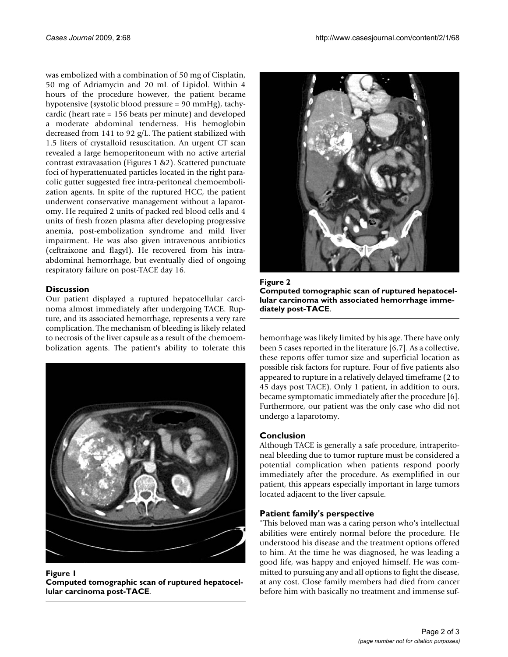was embolized with a combination of 50 mg of Cisplatin, 50 mg of Adriamycin and 20 mL of Lipidol. Within 4 hours of the procedure however, the patient became hypotensive (systolic blood pressure = 90 mmHg), tachycardic (heart rate = 156 beats per minute) and developed a moderate abdominal tenderness. His hemoglobin decreased from 141 to 92 g/L. The patient stabilized with 1.5 liters of crystalloid resuscitation. An urgent CT scan revealed a large hemoperitoneum with no active arterial contrast extravasation (Figures [1](#page-1-0) &[2\)](#page-1-1). Scattered punctuate foci of hyperattenuated particles located in the right paracolic gutter suggested free intra-peritoneal chemoembolization agents. In spite of the ruptured HCC, the patient underwent conservative management without a laparotomy. He required 2 units of packed red blood cells and 4 units of fresh frozen plasma after developing progressive anemia, post-embolization syndrome and mild liver impairment. He was also given intravenous antibiotics (ceftraixone and flagyl). He recovered from his intraabdominal hemorrhage, but eventually died of ongoing respiratory failure on post-TACE day 16.

# **Discussion**

Our patient displayed a ruptured hepatocellular carcinoma almost immediately after undergoing TACE. Rupture, and its associated hemorrhage, represents a very rare complication. The mechanism of bleeding is likely related to necrosis of the liver capsule as a result of the chemoembolization agents. The patient's ability to tolerate this

<span id="page-1-0"></span>

Figure 1 **Computed tomographic scan of ruptured hepatocellular carcinoma post-TACE**.

<span id="page-1-1"></span>

Figure 2 **Computed tomographic scan of ruptured hepatocellular carcinoma with associated hemorrhage immediately post-TACE**.

hemorrhage was likely limited by his age. There have only been 5 cases reported in the literature [[6](#page-2-5)[,7\]](#page-2-6). As a collective, these reports offer tumor size and superficial location as possible risk factors for rupture. Four of five patients also appeared to rupture in a relatively delayed timeframe (2 to 45 days post TACE). Only 1 patient, in addition to ours, became symptomatic immediately after the procedure [[6](#page-2-5)]. Furthermore, our patient was the only case who did not undergo a laparotomy.

# **Conclusion**

Although TACE is generally a safe procedure, intraperitoneal bleeding due to tumor rupture must be considered a potential complication when patients respond poorly immediately after the procedure. As exemplified in our patient, this appears especially important in large tumors located adjacent to the liver capsule.

# **Patient family's perspective**

"This beloved man was a caring person who's intellectual abilities were entirely normal before the procedure. He understood his disease and the treatment options offered to him. At the time he was diagnosed, he was leading a good life, was happy and enjoyed himself. He was committed to pursuing any and all options to fight the disease, at any cost. Close family members had died from cancer before him with basically no treatment and immense suf